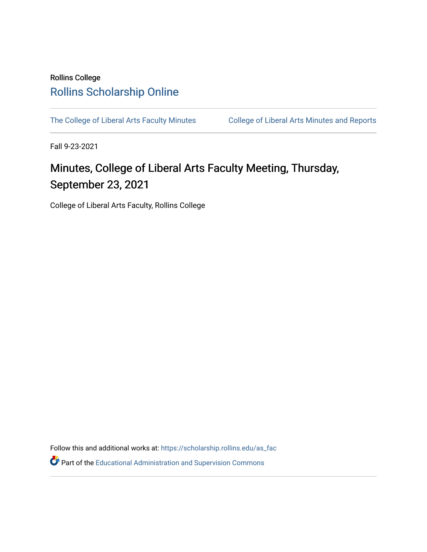## Rollins College [Rollins Scholarship Online](https://scholarship.rollins.edu/)

[The College of Liberal Arts Faculty Minutes](https://scholarship.rollins.edu/as_fac) College of Liberal Arts Minutes and Reports

Fall 9-23-2021

# Minutes, College of Liberal Arts Faculty Meeting, Thursday, September 23, 2021

College of Liberal Arts Faculty, Rollins College

Follow this and additional works at: [https://scholarship.rollins.edu/as\\_fac](https://scholarship.rollins.edu/as_fac?utm_source=scholarship.rollins.edu%2Fas_fac%2F769&utm_medium=PDF&utm_campaign=PDFCoverPages) 

**P** Part of the [Educational Administration and Supervision Commons](http://network.bepress.com/hgg/discipline/787?utm_source=scholarship.rollins.edu%2Fas_fac%2F769&utm_medium=PDF&utm_campaign=PDFCoverPages)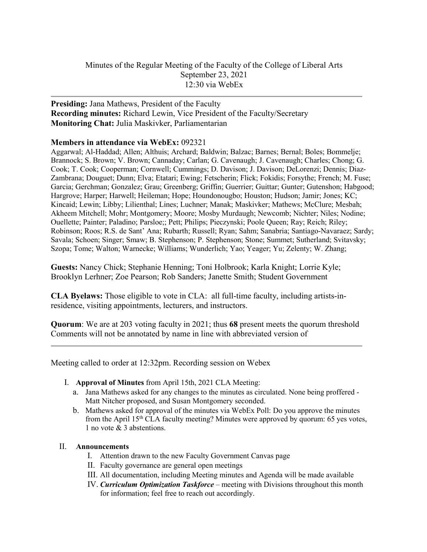#### **Presiding:** Jana Mathews, President of the Faculty **Recording minutes:** Richard Lewin, Vice President of the Faculty/Secretary **Monitoring Chat:** Julia Maskivker, Parliamentarian

#### **Members in attendance via WebEx:** 092321

Aggarwal; Al-Haddad; Allen; Althuis; Archard; Baldwin; Balzac; Barnes; Bernal; Boles; Bommelje; Brannock; S. Brown; V. Brown; Cannaday; Carlan; G. Cavenaugh; J. Cavenaugh; Charles; Chong; G. Cook; T. Cook; Cooperman; Cornwell; Cummings; D. Davison; J. Davison; DeLorenzi; Dennis; Diaz-Zambrana; Douguet; Dunn; Elva; Etatari; Ewing; Fetscherin; Flick; Fokidis; Forsythe; French; M. Fuse; Garcia; Gerchman; Gonzalez; Grau; Greenberg; Griffin; Guerrier; Guittar; Gunter; Gutenshon; Habgood; Hargrove; Harper; Harwell; Heileman; Hope; Houndonougbo; Houston; Hudson; Jamir; Jones; KC; Kincaid; Lewin; Libby; Lilienthal; Lines; Luchner; Manak; Maskivker; Mathews; McClure; Mesbah; Akheem Mitchell; Mohr; Montgomery; Moore; Mosby Murdaugh; Newcomb; Nichter; Niles; Nodine; Ouellette; Painter; Paladino; Parsloe;; Pett; Philips; Pieczynski; Poole Queen; Ray; Reich; Riley; Robinson; Roos; R.S. de Sant' Ana; Rubarth; Russell; Ryan; Sahm; Sanabria; Santiago-Navaraez; Sardy; Savala; Schoen; Singer; Smaw; B. Stephenson; P. Stephenson; Stone; Summet; Sutherland; Svitavsky; Szopa; Tome; Walton; Warnecke; Williams; Wunderlich; Yao; Yeager; Yu; Zelenty; W. Zhang;

**Guests:** Nancy Chick; Stephanie Henning; Toni Holbrook; Karla Knight; Lorrie Kyle; Brooklyn Lerhner; Zoe Pearson; Rob Sanders; Janette Smith; Student Government

**CLA Byelaws:** Those eligible to vote in CLA: all full-time faculty, including artists-inresidence, visiting appointments, lecturers, and instructors.

**Quorum**: We are at 203 voting faculty in 2021; thus **68** present meets the quorum threshold Comments will not be annotated by name in line with abbreviated version of

Meeting called to order at 12:32pm. Recording session on Webex

- I. **Approval of Minutes** from April 15th, 2021 CLA Meeting:
	- a. Jana Mathews asked for any changes to the minutes as circulated. None being proffered Matt Nitcher proposed, and Susan Montgomery seconded.
	- b. Mathews asked for approval of the minutes via WebEx Poll: Do you approve the minutes from the April 15th CLA faculty meeting? Minutes were approved by quorum: 65 yes votes, 1 no vote & 3 abstentions.

#### II. **Announcements**

- I. Attention drawn to the new Faculty Government Canvas page
- II. Faculty governance are general open meetings
- III. All documentation, including Meeting minutes and Agenda will be made available
- IV. *Curriculum Optimization Taskforce* meeting with Divisions throughout this month for information; feel free to reach out accordingly.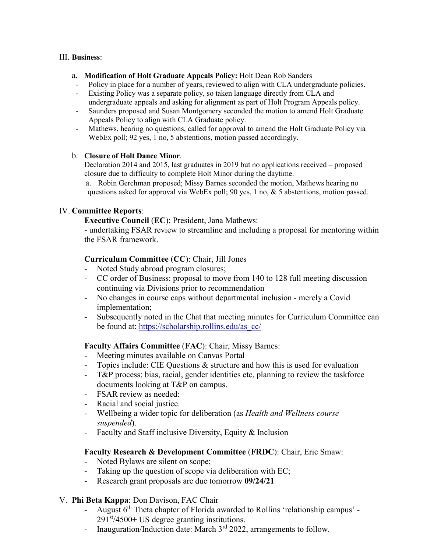#### III. **Business**:

#### a. **Modification of Holt Graduate Appeals Policy:** Holt Dean Rob Sanders

- Policy in place for a number of years, reviewed to align with CLA undergraduate policies. Existing Policy was a separate policy, so taken language directly from CLA and
- undergraduate appeals and asking for alignment as part of Holt Program Appeals policy.
- Saunders proposed and Susan Montgomery seconded the motion to amend Holt Graduate Appeals Policy to align with CLA Graduate policy.
- Mathews, hearing no questions, called for approval to amend the Holt Graduate Policy via WebEx poll; 92 yes, 1 no, 5 abstentions, motion passed accordingly.

#### b. **Closure of Holt Dance Minor**.

Declaration 2014 and 2015, last graduates in 2019 but no applications received – proposed closure due to difficulty to complete Holt Minor during the daytime.

a. Robin Gerchman proposed; Missy Barnes seconded the motion, Mathews hearing no questions asked for approval via WebEx poll; 90 yes, 1 no, & 5 abstentions, motion passed.

#### IV. **Committee Reports**:

**Executive Council** (**EC**): President, Jana Mathews:

- undertaking FSAR review to streamline and including a proposal for mentoring within the FSAR framework.

#### **Curriculum Committee** (**CC**): Chair, Jill Jones

- Noted Study abroad program closures;
- CC order of Business: proposal to move from 140 to 128 full meeting discussion continuing via Divisions prior to recommendation
- No changes in course caps without departmental inclusion merely a Covid implementation;
- Subsequently noted in the Chat that meeting minutes for Curriculum Committee can be found at: [https://scholarship.rollins.edu/as\\_cc/](https://scholarship.rollins.edu/as_cc/)

#### **Faculty Affairs Committee** (**FAC**): Chair, Missy Barnes:

- Meeting minutes available on Canvas Portal
- Topics include: CIE Questions & structure and how this is used for evaluation
- T&P process; bias, racial, gender identities etc, planning to review the taskforce documents looking at T&P on campus.
- FSAR review as needed:
- Racial and social justice.
- Wellbeing a wider topic for deliberation (as *Health and Wellness course suspended*).
- Faculty and Staff inclusive Diversity, Equity & Inclusion

#### **Faculty Research & Development Committee** (**FRDC**): Chair, Eric Smaw:

- Noted Bylaws are silent on scope;
- Taking up the question of scope via deliberation with EC;
- Research grant proposals are due tomorrow  $09/24/21$

#### V. **Phi Beta Kappa**: Don Davison, FAC Chair

- August 6<sup>th</sup> Theta chapter of Florida awarded to Rollins 'relationship campus' - $291<sup>st</sup>/4500+ US degree granting institutions.$
- Inauguration/Induction date: March  $3<sup>rd</sup>$  2022, arrangements to follow.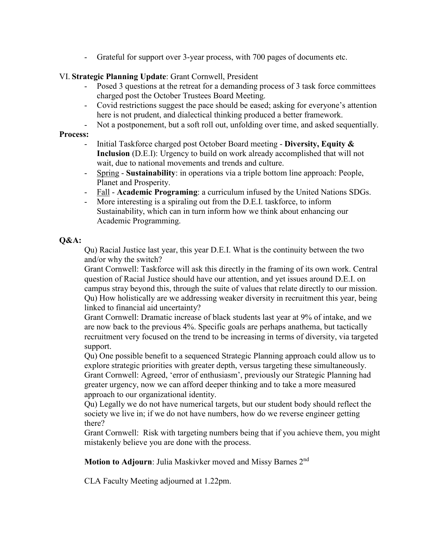Grateful for support over 3-year process, with 700 pages of documents etc.

#### VI. **Strategic Planning Update**: Grant Cornwell, President

- Posed 3 questions at the retreat for a demanding process of 3 task force committees charged post the October Trustees Board Meeting.
- Covid restrictions suggest the pace should be eased; asking for everyone's attention here is not prudent, and dialectical thinking produced a better framework.
- Not a postponement, but a soft roll out, unfolding over time, and asked sequentially.

#### **Process:**

- Initial Taskforce charged post October Board meeting **Diversity, Equity & Inclusion** (D.E.I): Urgency to build on work already accomplished that will not wait, due to national movements and trends and culture.
- Spring **Sustainability**: in operations via a triple bottom line approach: People, Planet and Prosperity.
- Fall **Academic Programing**: a curriculum infused by the United Nations SDGs.
- More interesting is a spiraling out from the D.E.I. taskforce, to inform Sustainability, which can in turn inform how we think about enhancing our Academic Programming.

#### **Q&A:**

Qu) Racial Justice last year, this year D.E.I. What is the continuity between the two and/or why the switch?

Grant Cornwell: Taskforce will ask this directly in the framing of its own work. Central question of Racial Justice should have our attention, and yet issues around D.E.I. on campus stray beyond this, through the suite of values that relate directly to our mission. Qu) How holistically are we addressing weaker diversity in recruitment this year, being linked to financial aid uncertainty?

Grant Cornwell: Dramatic increase of black students last year at 9% of intake, and we are now back to the previous 4%. Specific goals are perhaps anathema, but tactically recruitment very focused on the trend to be increasing in terms of diversity, via targeted support.

Qu) One possible benefit to a sequenced Strategic Planning approach could allow us to explore strategic priorities with greater depth, versus targeting these simultaneously. Grant Cornwell: Agreed, 'error of enthusiasm', previously our Strategic Planning had greater urgency, now we can afford deeper thinking and to take a more measured approach to our organizational identity.

Qu) Legally we do not have numerical targets, but our student body should reflect the society we live in; if we do not have numbers, how do we reverse engineer getting there?

Grant Cornwell: Risk with targeting numbers being that if you achieve them, you might mistakenly believe you are done with the process.

**Motion to Adjourn:** Julia Maskivker moved and Missy Barnes 2<sup>nd</sup>

CLA Faculty Meeting adjourned at 1.22pm.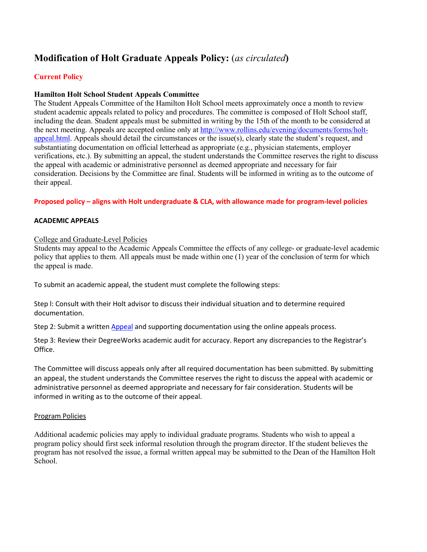### **Modification of Holt Graduate Appeals Policy:** (*as circulated***)**

#### **Current Policy**

#### **Hamilton Holt School Student Appeals Committee**

The Student Appeals Committee of the Hamilton Holt School meets approximately once a month to review student academic appeals related to policy and procedures. The committee is composed of Holt School staff, including the dean. Student appeals must be submitted in writing by the 15th of the month to be considered at the next meeting. Appeals are accepted online only at [http://www.rollins.edu/evening/documents/forms/holt](http://www.rollins.edu/evening/documents/forms/holt-appeal.html)[appeal.html.](http://www.rollins.edu/evening/documents/forms/holt-appeal.html) Appeals should detail the circumstances or the issue(s), clearly state the student's request, and substantiating documentation on official letterhead as appropriate (e.g., physician statements, employer verifications, etc.). By submitting an appeal, the student understands the Committee reserves the right to discuss the appeal with academic or administrative personnel as deemed appropriate and necessary for fair consideration. Decisions by the Committee are final. Students will be informed in writing as to the outcome of their appeal.

#### **Proposed policy – aligns with Holt undergraduate & CLA, with allowance made for program-level policies**

#### **ACADEMIC APPEALS**

#### College and Graduate-Level Policies

Students may appeal to the Academic Appeals Committee the effects of any college- or graduate-level academic policy that applies to them. All appeals must be made within one (1) year of the conclusion of term for which the appeal is made.

To submit an academic appeal, the student must complete the following steps:

Step l: Consult with their Holt advisor to discuss their individual situation and to determine required documentation.

Step 2: Submit a written [Appeal](https://rollinscollege.wufoo.com/forms/academic-appeals/) and supporting documentation using the online appeals process.

Step 3: Review their DegreeWorks academic audit for accuracy. Report any discrepancies to the Registrar's Office.

The Committee will discuss appeals only after all required documentation has been submitted. By submitting an appeal, the student understands the Committee reserves the right to discuss the appeal with academic or administrative personnel as deemed appropriate and necessary for fair consideration. Students will be informed in writing as to the outcome of their appeal.

#### Program Policies

Additional academic policies may apply to individual graduate programs. Students who wish to appeal a program policy should first seek informal resolution through the program director. If the student believes the program has not resolved the issue, a formal written appeal may be submitted to the Dean of the Hamilton Holt School.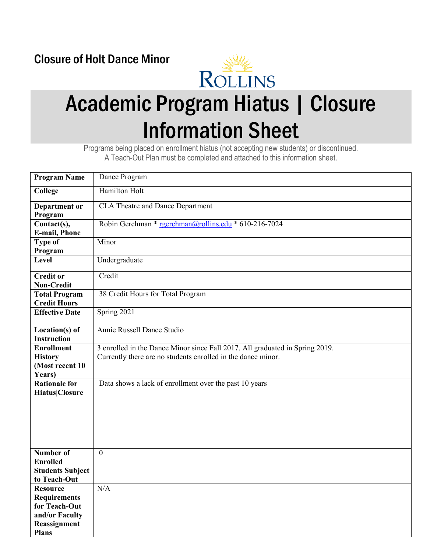## Closure of Holt Dance Minor



# Academic Program Hiatus | Closure Information Sheet

Programs being placed on enrollment hiatus (not accepting new students) or discontinued. A Teach-Out Plan must be completed and attached to this information sheet.

| <b>Program Name</b>                                                                                       | Dance Program                                                                                                                                |  |  |  |  |
|-----------------------------------------------------------------------------------------------------------|----------------------------------------------------------------------------------------------------------------------------------------------|--|--|--|--|
| College                                                                                                   | Hamilton Holt                                                                                                                                |  |  |  |  |
| Department or<br>Program                                                                                  | <b>CLA Theatre and Dance Department</b>                                                                                                      |  |  |  |  |
| Contact(s),<br><b>E-mail, Phone</b>                                                                       | Robin Gerchman * rgerchman@rollins.edu * 610-216-7024                                                                                        |  |  |  |  |
| <b>Type of</b><br>Program                                                                                 | Minor                                                                                                                                        |  |  |  |  |
| Level                                                                                                     | Undergraduate                                                                                                                                |  |  |  |  |
| <b>Credit or</b><br><b>Non-Credit</b>                                                                     | Credit                                                                                                                                       |  |  |  |  |
| <b>Total Program</b><br><b>Credit Hours</b>                                                               | 38 Credit Hours for Total Program                                                                                                            |  |  |  |  |
| <b>Effective Date</b>                                                                                     | Spring 2021                                                                                                                                  |  |  |  |  |
| $Location(s)$ of<br><b>Instruction</b>                                                                    | Annie Russell Dance Studio                                                                                                                   |  |  |  |  |
| <b>Enrollment</b><br><b>History</b><br>(Most recent 10<br>Years)                                          | 3 enrolled in the Dance Minor since Fall 2017. All graduated in Spring 2019.<br>Currently there are no students enrolled in the dance minor. |  |  |  |  |
| <b>Rationale for</b><br><b>Hiatus Closure</b>                                                             | Data shows a lack of enrollment over the past 10 years                                                                                       |  |  |  |  |
| <b>Number of</b><br><b>Enrolled</b><br><b>Students Subject</b><br>to Teach-Out                            | $\mathbf{0}$                                                                                                                                 |  |  |  |  |
| <b>Resource</b><br><b>Requirements</b><br>for Teach-Out<br>and/or Faculty<br>Reassignment<br><b>Plans</b> | N/A                                                                                                                                          |  |  |  |  |